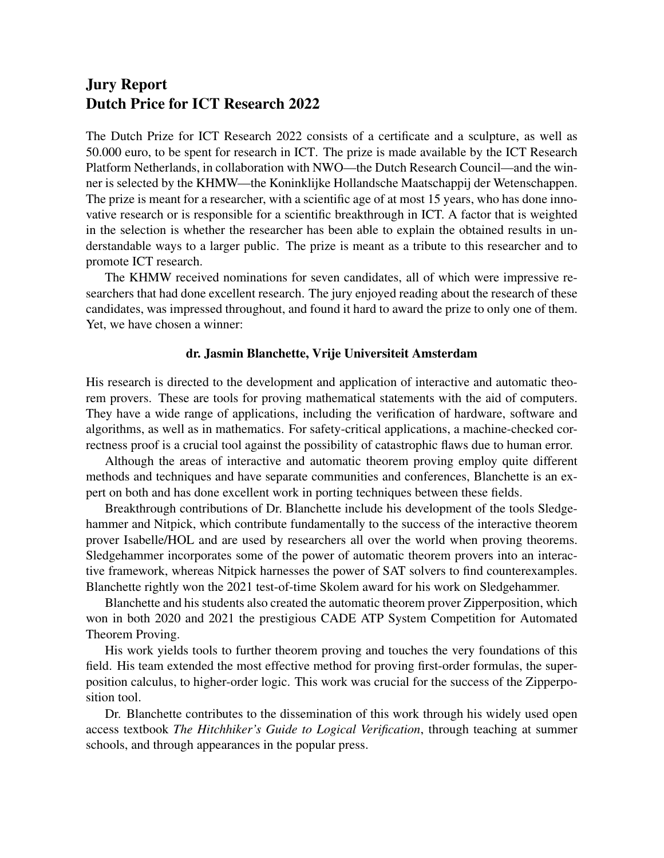## Jury Report Dutch Price for ICT Research 2022

The Dutch Prize for ICT Research 2022 consists of a certificate and a sculpture, as well as 50.000 euro, to be spent for research in ICT. The prize is made available by the ICT Research Platform Netherlands, in collaboration with NWO—the Dutch Research Council—and the winner is selected by the KHMW—the Koninklijke Hollandsche Maatschappij der Wetenschappen. The prize is meant for a researcher, with a scientific age of at most 15 years, who has done innovative research or is responsible for a scientific breakthrough in ICT. A factor that is weighted in the selection is whether the researcher has been able to explain the obtained results in understandable ways to a larger public. The prize is meant as a tribute to this researcher and to promote ICT research.

The KHMW received nominations for seven candidates, all of which were impressive researchers that had done excellent research. The jury enjoyed reading about the research of these candidates, was impressed throughout, and found it hard to award the prize to only one of them. Yet, we have chosen a winner:

## dr. Jasmin Blanchette, Vrije Universiteit Amsterdam

His research is directed to the development and application of interactive and automatic theorem provers. These are tools for proving mathematical statements with the aid of computers. They have a wide range of applications, including the verification of hardware, software and algorithms, as well as in mathematics. For safety-critical applications, a machine-checked correctness proof is a crucial tool against the possibility of catastrophic flaws due to human error.

Although the areas of interactive and automatic theorem proving employ quite different methods and techniques and have separate communities and conferences, Blanchette is an expert on both and has done excellent work in porting techniques between these fields.

Breakthrough contributions of Dr. Blanchette include his development of the tools Sledgehammer and Nitpick, which contribute fundamentally to the success of the interactive theorem prover Isabelle/HOL and are used by researchers all over the world when proving theorems. Sledgehammer incorporates some of the power of automatic theorem provers into an interactive framework, whereas Nitpick harnesses the power of SAT solvers to find counterexamples. Blanchette rightly won the 2021 test-of-time Skolem award for his work on Sledgehammer.

Blanchette and his students also created the automatic theorem prover Zipperposition, which won in both 2020 and 2021 the prestigious CADE ATP System Competition for Automated Theorem Proving.

His work yields tools to further theorem proving and touches the very foundations of this field. His team extended the most effective method for proving first-order formulas, the superposition calculus, to higher-order logic. This work was crucial for the success of the Zipperposition tool.

Dr. Blanchette contributes to the dissemination of this work through his widely used open access textbook *The Hitchhiker's Guide to Logical Verification*, through teaching at summer schools, and through appearances in the popular press.